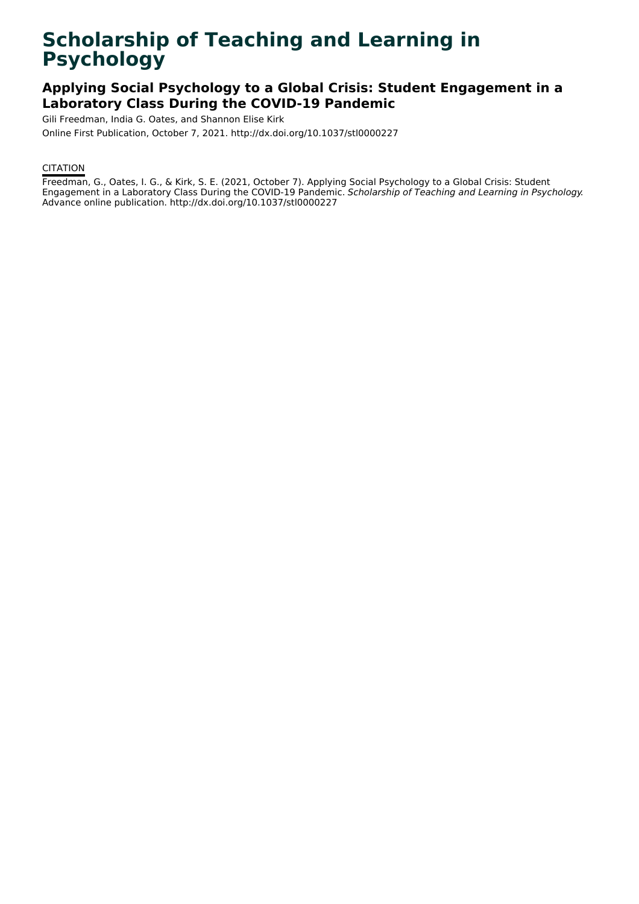# **Scholarship of Teaching and Learning in Psychology**

# **Applying Social Psychology to a Global Crisis: Student Engagement in a Laboratory Class During the COVID-19 Pandemic**

Gili Freedman, India G. Oates, and Shannon Elise Kirk

Online First Publication, October 7, 2021. http://dx.doi.org/10.1037/stl0000227

# **CITATION**

Freedman, G., Oates, I. G., & Kirk, S. E. (2021, October 7). Applying Social Psychology to a Global Crisis: Student Engagement in a Laboratory Class During the COVID-19 Pandemic. Scholarship of Teaching and Learning in Psychology. Advance online publication. http://dx.doi.org/10.1037/stl0000227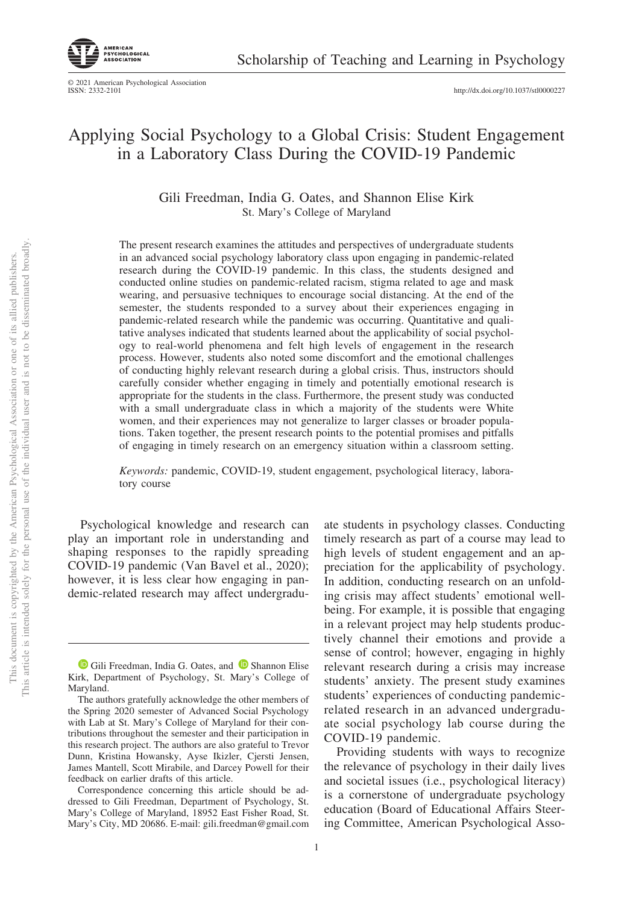© 2021 American Psychological Association ISSN: 2332-2101

http://dx.doi.org[/10.1037/stl0000227](http://dx.doi.org/10.1037/stl0000227)

# Applying Social Psychology to a Global Crisis: Student Engagement in a Laboratory Class During the COVID-19 Pandemic

Gili Freedman, India G. Oates, and Shannon Elise Kirk St. Mary's College of Maryland

The present research examines the attitudes and perspectives of undergraduate students in an advanced social psychology laboratory class upon engaging in pandemic-related research during the COVID-19 pandemic. In this class, the students designed and conducted online studies on pandemic-related racism, stigma related to age and mask wearing, and persuasive techniques to encourage social distancing. At the end of the semester, the students responded to a survey about their experiences engaging in pandemic-related research while the pandemic was occurring. Quantitative and qualitative analyses indicated that students learned about the applicability of social psychology to real-world phenomena and felt high levels of engagement in the research process. However, students also noted some discomfort and the emotional challenges of conducting highly relevant research during a global crisis. Thus, instructors should carefully consider whether engaging in timely and potentially emotional research is appropriate for the students in the class. Furthermore, the present study was conducted with a small undergraduate class in which a majority of the students were White women, and their experiences may not generalize to larger classes or broader populations. Taken together, the present research points to the potential promises and pitfalls of engaging in timely research on an emergency situation within a classroom setting.

*Keywords:* pandemic, COVID-19, student engagement, psychological literacy, laboratory course

Psychological knowledge and research can play an important role in understanding and shaping responses to the rapidly spreading COVID-19 pandemic (Van Bavel et al., 2020); however, it is less clear how engaging in pandemic-related research may affect undergradu-

ate students in psychology classes. Conducting timely research as part of a course may lead to high levels of student engagement and an appreciation for the applicability of psychology. In addition, conducting research on an unfolding crisis may affect students' emotional wellbeing. For example, it is possible that engaging in a relevant project may help students productively channel their emotions and provide a sense of control; however, engaging in highly relevant research during a crisis may increase students' anxiety. The present study examines students' experiences of conducting pandemicrelated research in an advanced undergraduate social psychology lab course during the COVID-19 pandemic.

Providing students with ways to recognize the relevance of psychology in their daily lives and societal issues (i.e., psychological literacy) is a cornerstone of undergraduate psychology education (Board of Educational Affairs Steering Committee, American Psychological Asso-

**ID** [Gili Freedman,](https://orcid.org/0000-0002-7006-9674) India G. Oates, and **D** [Shannon Elise](https://orcid.org/0000-0002-0359-7709) [Kirk,](https://orcid.org/0000-0002-0359-7709) Department of Psychology, St. Mary's College of Maryland.

The authors gratefully acknowledge the other members of the Spring 2020 semester of Advanced Social Psychology with Lab at St. Mary's College of Maryland for their contributions throughout the semester and their participation in this research project. The authors are also grateful to Trevor Dunn, Kristina Howansky, Ayse Ikizler, Cjersti Jensen, James Mantell, Scott Mirabile, and Darcey Powell for their feedback on earlier drafts of this article.

Correspondence concerning this article should be addressed to Gili Freedman, Department of Psychology, St. Mary's College of Maryland, 18952 East Fisher Road, St. Mary's City, MD 20686. E-mail: [gili.freedman@gmail.com](mailto:gili.freedman@gmail.com)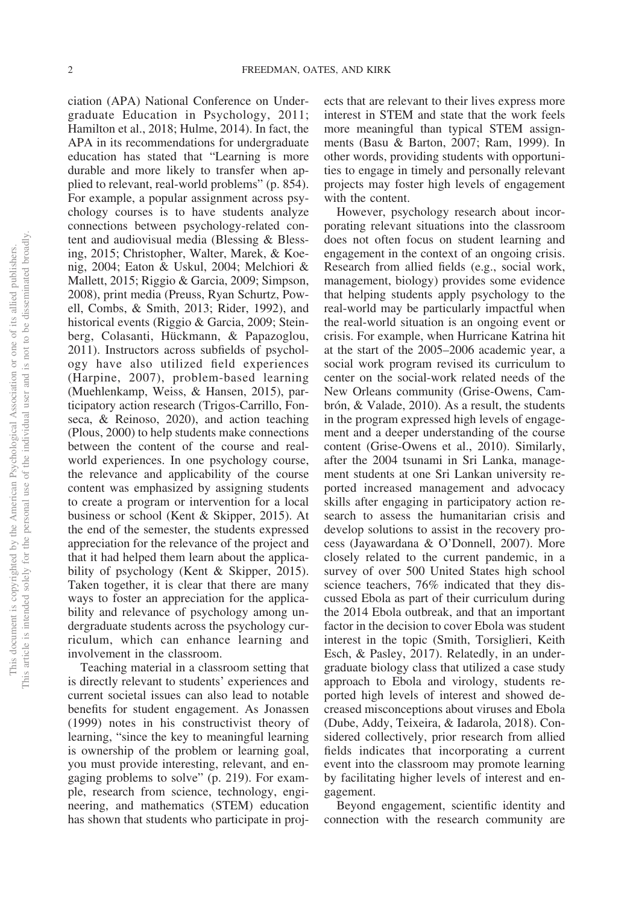ciation (APA) National Conference on Undergraduate Education in Psychology, 2011; Hamilton et al., 2018; Hulme, 2014). In fact, the APA in its recommendations for undergraduate education has stated that "Learning is more durable and more likely to transfer when applied to relevant, real-world problems" (p. 854). For example, a popular assignment across psychology courses is to have students analyze connections between psychology-related content and audiovisual media (Blessing & Blessing, 2015; Christopher, Walter, Marek, & Koenig, 2004; Eaton & Uskul, 2004; Melchiori & Mallett, 2015; Riggio & Garcia, 2009; Simpson, 2008), print media (Preuss, Ryan Schurtz, Powell, Combs, & Smith, 2013; Rider, 1992), and historical events (Riggio & Garcia, 2009; Steinberg, Colasanti, Hückmann, & Papazoglou, 2011). Instructors across subfields of psychology have also utilized field experiences (Harpine, 2007), problem-based learning (Muehlenkamp, Weiss, & Hansen, 2015), participatory action research (Trigos-Carrillo, Fonseca, & Reinoso, 2020), and action teaching (Plous, 2000) to help students make connections between the content of the course and realworld experiences. In one psychology course, the relevance and applicability of the course content was emphasized by assigning students to create a program or intervention for a local business or school (Kent & Skipper, 2015). At the end of the semester, the students expressed appreciation for the relevance of the project and that it had helped them learn about the applicability of psychology (Kent & Skipper, 2015). Taken together, it is clear that there are many ways to foster an appreciation for the applicability and relevance of psychology among undergraduate students across the psychology curriculum, which can enhance learning and involvement in the classroom.

Teaching material in a classroom setting that is directly relevant to students' experiences and current societal issues can also lead to notable benefits for student engagement. As Jonassen (1999) notes in his constructivist theory of learning, "since the key to meaningful learning is ownership of the problem or learning goal, you must provide interesting, relevant, and engaging problems to solve" (p. 219). For example, research from science, technology, engineering, and mathematics (STEM) education has shown that students who participate in proj-

ects that are relevant to their lives express more interest in STEM and state that the work feels more meaningful than typical STEM assignments (Basu & Barton, 2007; Ram, 1999). In other words, providing students with opportunities to engage in timely and personally relevant projects may foster high levels of engagement with the content.

However, psychology research about incorporating relevant situations into the classroom does not often focus on student learning and engagement in the context of an ongoing crisis. Research from allied fields (e.g., social work, management, biology) provides some evidence that helping students apply psychology to the real-world may be particularly impactful when the real-world situation is an ongoing event or crisis. For example, when Hurricane Katrina hit at the start of the 2005–2006 academic year, a social work program revised its curriculum to center on the social-work related needs of the New Orleans community (Grise-Owens, Cambrón, & Valade, 2010). As a result, the students in the program expressed high levels of engagement and a deeper understanding of the course content (Grise-Owens et al., 2010). Similarly, after the 2004 tsunami in Sri Lanka, management students at one Sri Lankan university reported increased management and advocacy skills after engaging in participatory action research to assess the humanitarian crisis and develop solutions to assist in the recovery process (Jayawardana & O'Donnell, 2007). More closely related to the current pandemic, in a survey of over 500 United States high school science teachers, 76% indicated that they discussed Ebola as part of their curriculum during the 2014 Ebola outbreak, and that an important factor in the decision to cover Ebola was student interest in the topic (Smith, Torsiglieri, Keith Esch, & Pasley, 2017). Relatedly, in an undergraduate biology class that utilized a case study approach to Ebola and virology, students reported high levels of interest and showed decreased misconceptions about viruses and Ebola (Dube, Addy, Teixeira, & Iadarola, 2018). Considered collectively, prior research from allied fields indicates that incorporating a current event into the classroom may promote learning by facilitating higher levels of interest and engagement.

Beyond engagement, scientific identity and connection with the research community are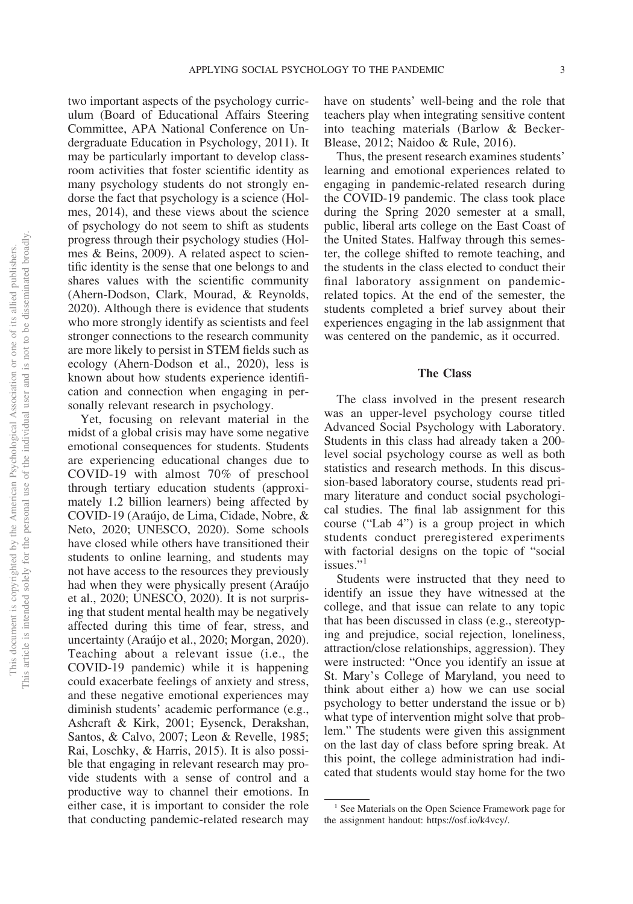two important aspects of the psychology curriculum (Board of Educational Affairs Steering Committee, APA National Conference on Undergraduate Education in Psychology, 2011). It may be particularly important to develop classroom activities that foster scientific identity as many psychology students do not strongly endorse the fact that psychology is a science (Holmes, 2014), and these views about the science of psychology do not seem to shift as students progress through their psychology studies (Holmes & Beins, 2009). A related aspect to scientific identity is the sense that one belongs to and shares values with the scientific community (Ahern-Dodson, Clark, Mourad, & Reynolds, 2020). Although there is evidence that students who more strongly identify as scientists and feel stronger connections to the research community are more likely to persist in STEM fields such as ecology (Ahern-Dodson et al., 2020), less is known about how students experience identification and connection when engaging in personally relevant research in psychology.

Yet, focusing on relevant material in the midst of a global crisis may have some negative emotional consequences for students. Students are experiencing educational changes due to COVID-19 with almost 70% of preschool through tertiary education students (approximately 1.2 billion learners) being affected by COVID-19 (Araújo, de Lima, Cidade, Nobre, & Neto, 2020; UNESCO, 2020). Some schools have closed while others have transitioned their students to online learning, and students may not have access to the resources they previously had when they were physically present (Araújo et al., 2020; UNESCO, 2020). It is not surprising that student mental health may be negatively affected during this time of fear, stress, and uncertainty (Araújo et al., 2020; Morgan, 2020). Teaching about a relevant issue (i.e., the COVID-19 pandemic) while it is happening could exacerbate feelings of anxiety and stress, and these negative emotional experiences may diminish students' academic performance (e.g., Ashcraft & Kirk, 2001; Eysenck, Derakshan, Santos, & Calvo, 2007; Leon & Revelle, 1985; Rai, Loschky, & Harris, 2015). It is also possible that engaging in relevant research may provide students with a sense of control and a productive way to channel their emotions. In either case, it is important to consider the role that conducting pandemic-related research may have on students' well-being and the role that teachers play when integrating sensitive content into teaching materials (Barlow & Becker-Blease, 2012; Naidoo & Rule, 2016).

Thus, the present research examines students' learning and emotional experiences related to engaging in pandemic-related research during the COVID-19 pandemic. The class took place during the Spring 2020 semester at a small, public, liberal arts college on the East Coast of the United States. Halfway through this semester, the college shifted to remote teaching, and the students in the class elected to conduct their final laboratory assignment on pandemicrelated topics. At the end of the semester, the students completed a brief survey about their experiences engaging in the lab assignment that was centered on the pandemic, as it occurred.

#### **The Class**

The class involved in the present research was an upper-level psychology course titled Advanced Social Psychology with Laboratory. Students in this class had already taken a 200 level social psychology course as well as both statistics and research methods. In this discussion-based laboratory course, students read primary literature and conduct social psychological studies. The final lab assignment for this course ("Lab 4") is a group project in which students conduct preregistered experiments with factorial designs on the topic of "social issues<sup>"1</sup>

Students were instructed that they need to identify an issue they have witnessed at the college, and that issue can relate to any topic that has been discussed in class (e.g., stereotyping and prejudice, social rejection, loneliness, attraction/close relationships, aggression). They were instructed: "Once you identify an issue at St. Mary's College of Maryland, you need to think about either a) how we can use social psychology to better understand the issue or b) what type of intervention might solve that problem." The students were given this assignment on the last day of class before spring break. At this point, the college administration had indicated that students would stay home for the two

<sup>&</sup>lt;sup>1</sup> See Materials on the Open Science Framework page for the assignment handout: [https://osf.io/k4vcy/.](https://osf.io/k4vcy/)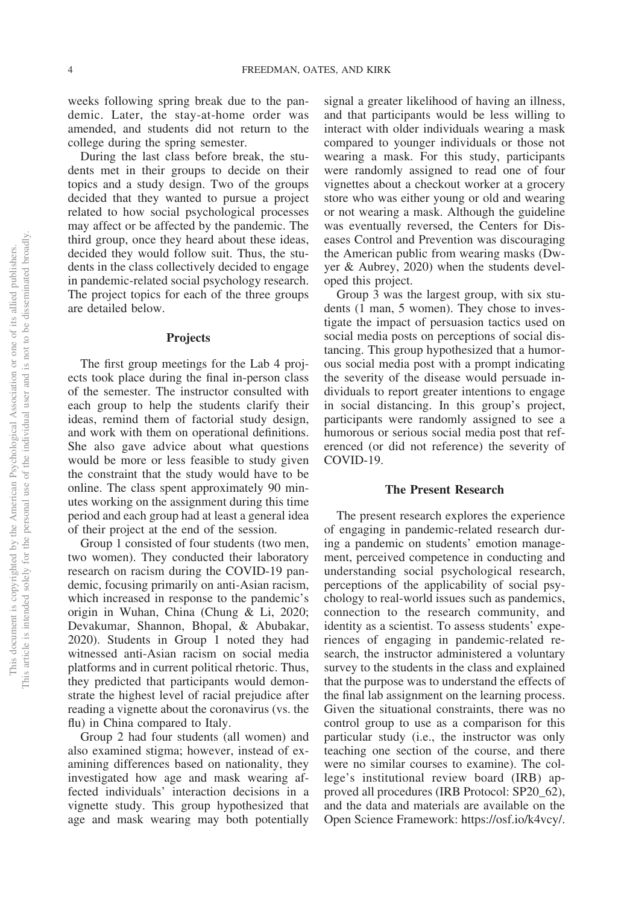weeks following spring break due to the pandemic. Later, the stay-at-home order was amended, and students did not return to the college during the spring semester.

During the last class before break, the students met in their groups to decide on their topics and a study design. Two of the groups decided that they wanted to pursue a project related to how social psychological processes may affect or be affected by the pandemic. The third group, once they heard about these ideas, decided they would follow suit. Thus, the students in the class collectively decided to engage in pandemic-related social psychology research. The project topics for each of the three groups are detailed below.

#### **Projects**

The first group meetings for the Lab 4 projects took place during the final in-person class of the semester. The instructor consulted with each group to help the students clarify their ideas, remind them of factorial study design, and work with them on operational definitions. She also gave advice about what questions would be more or less feasible to study given the constraint that the study would have to be online. The class spent approximately 90 minutes working on the assignment during this time period and each group had at least a general idea of their project at the end of the session.

Group 1 consisted of four students (two men, two women). They conducted their laboratory research on racism during the COVID-19 pandemic, focusing primarily on anti-Asian racism, which increased in response to the pandemic's origin in Wuhan, China (Chung & Li, 2020; Devakumar, Shannon, Bhopal, & Abubakar, 2020). Students in Group 1 noted they had witnessed anti-Asian racism on social media platforms and in current political rhetoric. Thus, they predicted that participants would demonstrate the highest level of racial prejudice after reading a vignette about the coronavirus (vs. the flu) in China compared to Italy.

Group 2 had four students (all women) and also examined stigma; however, instead of examining differences based on nationality, they investigated how age and mask wearing affected individuals' interaction decisions in a vignette study. This group hypothesized that age and mask wearing may both potentially

signal a greater likelihood of having an illness, and that participants would be less willing to interact with older individuals wearing a mask compared to younger individuals or those not wearing a mask. For this study, participants were randomly assigned to read one of four vignettes about a checkout worker at a grocery store who was either young or old and wearing or not wearing a mask. Although the guideline was eventually reversed, the Centers for Diseases Control and Prevention was discouraging the American public from wearing masks (Dwyer & Aubrey, 2020) when the students developed this project.

Group 3 was the largest group, with six students (1 man, 5 women). They chose to investigate the impact of persuasion tactics used on social media posts on perceptions of social distancing. This group hypothesized that a humorous social media post with a prompt indicating the severity of the disease would persuade individuals to report greater intentions to engage in social distancing. In this group's project, participants were randomly assigned to see a humorous or serious social media post that referenced (or did not reference) the severity of COVID-19.

#### **The Present Research**

The present research explores the experience of engaging in pandemic-related research during a pandemic on students' emotion management, perceived competence in conducting and understanding social psychological research, perceptions of the applicability of social psychology to real-world issues such as pandemics, connection to the research community, and identity as a scientist. To assess students' experiences of engaging in pandemic-related research, the instructor administered a voluntary survey to the students in the class and explained that the purpose was to understand the effects of the final lab assignment on the learning process. Given the situational constraints, there was no control group to use as a comparison for this particular study (i.e., the instructor was only teaching one section of the course, and there were no similar courses to examine). The college's institutional review board (IRB) approved all procedures (IRB Protocol: SP20\_62), and the data and materials are available on the Open Science Framework: [https://osf.io/k4vcy/.](https://osf.io/k4vcy/)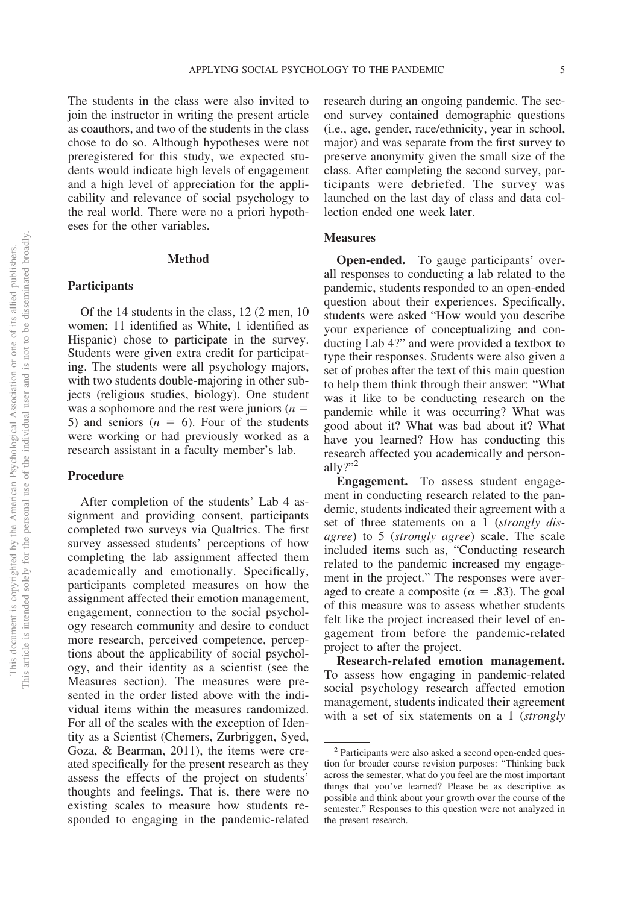The students in the class were also invited to join the instructor in writing the present article as coauthors, and two of the students in the class chose to do so. Although hypotheses were not preregistered for this study, we expected students would indicate high levels of engagement and a high level of appreciation for the applicability and relevance of social psychology to the real world. There were no a priori hypotheses for the other variables.

#### **Method**

## **Participants**

Of the 14 students in the class, 12 (2 men, 10 women; 11 identified as White, 1 identified as Hispanic) chose to participate in the survey. Students were given extra credit for participating. The students were all psychology majors, with two students double-majoring in other subjects (religious studies, biology). One student was a sophomore and the rest were juniors  $(n =$ 5) and seniors  $(n = 6)$ . Four of the students were working or had previously worked as a research assistant in a faculty member's lab.

# **Procedure**

After completion of the students' Lab 4 assignment and providing consent, participants completed two surveys via Qualtrics. The first survey assessed students' perceptions of how completing the lab assignment affected them academically and emotionally. Specifically, participants completed measures on how the assignment affected their emotion management, engagement, connection to the social psychology research community and desire to conduct more research, perceived competence, perceptions about the applicability of social psychology, and their identity as a scientist (see the Measures section). The measures were presented in the order listed above with the individual items within the measures randomized. For all of the scales with the exception of Identity as a Scientist (Chemers, Zurbriggen, Syed, Goza, & Bearman, 2011), the items were created specifically for the present research as they assess the effects of the project on students' thoughts and feelings. That is, there were no existing scales to measure how students responded to engaging in the pandemic-related

research during an ongoing pandemic. The second survey contained demographic questions (i.e., age, gender, race/ethnicity, year in school, major) and was separate from the first survey to preserve anonymity given the small size of the class. After completing the second survey, participants were debriefed. The survey was launched on the last day of class and data collection ended one week later.

#### **Measures**

**Open-ended.** To gauge participants' overall responses to conducting a lab related to the pandemic, students responded to an open-ended question about their experiences. Specifically, students were asked "How would you describe your experience of conceptualizing and conducting Lab 4?" and were provided a textbox to type their responses. Students were also given a set of probes after the text of this main question to help them think through their answer: "What was it like to be conducting research on the pandemic while it was occurring? What was good about it? What was bad about it? What have you learned? How has conducting this research affected you academically and personally?" $2$ 

**Engagement.** To assess student engagement in conducting research related to the pandemic, students indicated their agreement with a set of three statements on a 1 (strongly dis*agree*) to 5 (*strongly agree*) scale. The scale included items such as, "Conducting research related to the pandemic increased my engagement in the project." The responses were averaged to create a composite ( $\alpha = .83$ ). The goal of this measure was to assess whether students felt like the project increased their level of engagement from before the pandemic-related project to after the project.

**Research-related emotion management.** To assess how engaging in pandemic-related social psychology research affected emotion management, students indicated their agreement with a set of six statements on a 1 (*strongly* 

<sup>2</sup> Participants were also asked a second open-ended question for broader course revision purposes: "Thinking back across the semester, what do you feel are the most important things that you've learned? Please be as descriptive as possible and think about your growth over the course of the semester." Responses to this question were not analyzed in the present research.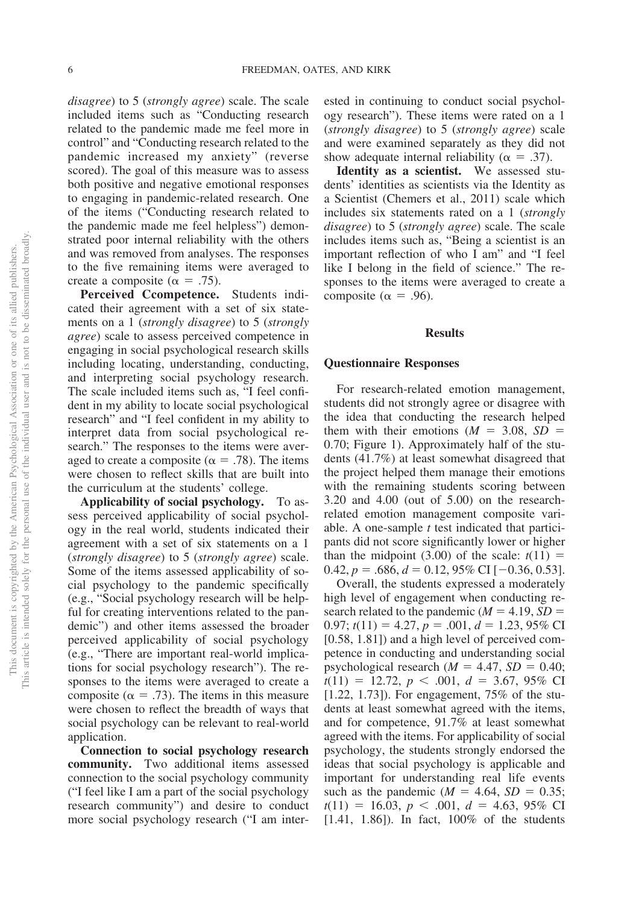*disagree*) to 5 (*strongly agree*) scale. The scale included items such as "Conducting research related to the pandemic made me feel more in control" and "Conducting research related to the pandemic increased my anxiety" (reverse scored). The goal of this measure was to assess both positive and negative emotional responses to engaging in pandemic-related research. One of the items ("Conducting research related to the pandemic made me feel helpless") demonstrated poor internal reliability with the others and was removed from analyses. The responses to the five remaining items were averaged to create a composite ( $\alpha = .75$ ).

**Perceived Ccompetence.** Students indicated their agreement with a set of six statements ona1(*strongly disagree*) to 5 (*strongly agree*) scale to assess perceived competence in engaging in social psychological research skills including locating, understanding, conducting, and interpreting social psychology research. The scale included items such as, "I feel confident in my ability to locate social psychological research" and "I feel confident in my ability to interpret data from social psychological research." The responses to the items were averaged to create a composite ( $\alpha = .78$ ). The items were chosen to reflect skills that are built into the curriculum at the students' college.

**Applicability of social psychology.** To assess perceived applicability of social psychology in the real world, students indicated their agreement with a set of six statements on a 1 (*strongly disagree*) to 5 (*strongly agree*) scale. Some of the items assessed applicability of social psychology to the pandemic specifically (e.g., "Social psychology research will be helpful for creating interventions related to the pandemic") and other items assessed the broader perceived applicability of social psychology (e.g., "There are important real-world implications for social psychology research"). The responses to the items were averaged to create a composite ( $\alpha = .73$ ). The items in this measure were chosen to reflect the breadth of ways that social psychology can be relevant to real-world application.

**Connection to social psychology research community.** Two additional items assessed connection to the social psychology community ("I feel like I am a part of the social psychology research community") and desire to conduct more social psychology research ("I am interested in continuing to conduct social psychology research"). These items were rated on a 1 (*strongly disagree*) to 5 (*strongly agree*) scale and were examined separately as they did not show adequate internal reliability ( $\alpha = .37$ ).

**Identity as a scientist.** We assessed students' identities as scientists via the Identity as a Scientist (Chemers et al., 2011) scale which includes six statements rated on a 1 (*strongly disagree*) to 5 (*strongly agree*) scale. The scale includes items such as, "Being a scientist is an important reflection of who I am" and "I feel like I belong in the field of science." The responses to the items were averaged to create a composite ( $\alpha = .96$ ).

#### **Results**

#### **Questionnaire Responses**

For research-related emotion management, students did not strongly agree or disagree with the idea that conducting the research helped them with their emotions  $(M = 3.08, SD =$ 0.70; [Figure 1\)](#page-7-0). Approximately half of the students (41.7%) at least somewhat disagreed that the project helped them manage their emotions with the remaining students scoring between 3.20 and 4.00 (out of 5.00) on the researchrelated emotion management composite variable. A one-sample *t* test indicated that participants did not score significantly lower or higher than the midpoint  $(3.00)$  of the scale:  $t(11) =$  $0.42, p = .686, d = 0.12, 95\% \text{ CI} [-0.36, 0.53].$ 

Overall, the students expressed a moderately high level of engagement when conducting research related to the pandemic  $(M = 4.19, SD =$  $0.97$ ;  $t(11) = 4.27$ ,  $p = .001$ ,  $d = 1.23$ , 95% CI [0.58, 1.81]) and a high level of perceived competence in conducting and understanding social psychological research  $(M = 4.47, SD = 0.40;$  $t(11) = 12.72, p < .001, d = 3.67, 95\% \text{ CI}$ [1.22, 1.73]). For engagement, 75% of the students at least somewhat agreed with the items, and for competence, 91.7% at least somewhat agreed with the items. For applicability of social psychology, the students strongly endorsed the ideas that social psychology is applicable and important for understanding real life events such as the pandemic  $(M = 4.64, SD = 0.35;$  $t(11) = 16.03, p < .001, d = 4.63, 95\% \text{ CI}$ [1.41, 1.86]). In fact, 100% of the students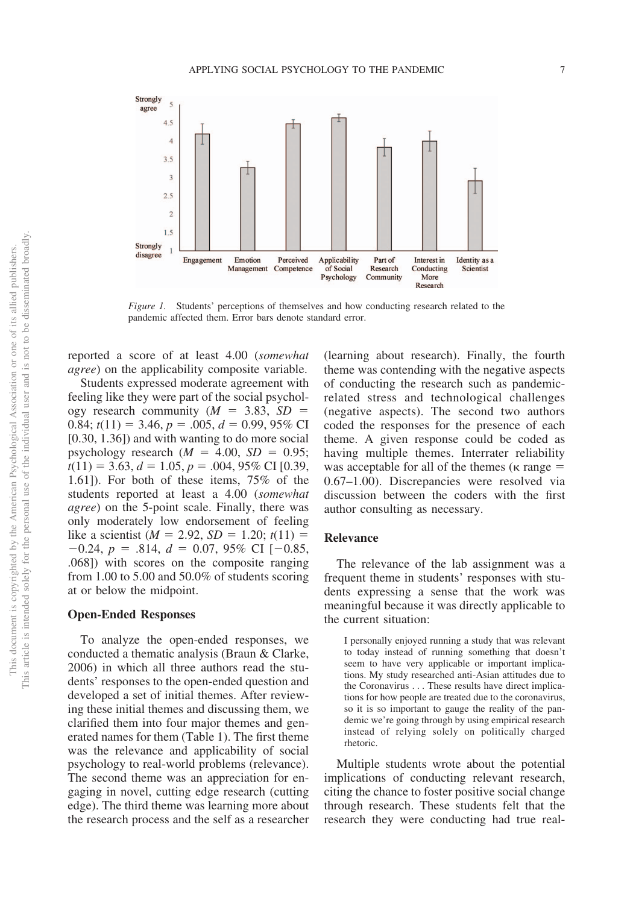

<span id="page-7-0"></span>*Figure 1.* Students' perceptions of themselves and how conducting research related to the pandemic affected them. Error bars denote standard error.

reported a score of at least 4.00 (*somewhat agree*) on the applicability composite variable.

Students expressed moderate agreement with feeling like they were part of the social psychology research community  $(M = 3.83, SD =$ 0.84;  $t(11) = 3.46$ ,  $p = .005$ ,  $d = 0.99$ , 95% CI [0.30, 1.36]) and with wanting to do more social psychology research  $(M = 4.00, SD = 0.95;$  $t(11) = 3.63, d = 1.05, p = .004, 95\% \text{ CI}$  [0.39, 1.61]). For both of these items, 75% of the students reported at least a 4.00 (*somewhat agree*) on the 5-point scale. Finally, there was only moderately low endorsement of feeling like a scientist ( $M = 2.92$ ,  $SD = 1.20$ ;  $t(11) =$  $-0.24, p = .814, d = 0.07, 95\% \text{ CI } [-0.85,$ .068]) with scores on the composite ranging from 1.00 to 5.00 and 50.0% of students scoring at or below the midpoint.

#### **Open-Ended Responses**

To analyze the open-ended responses, we conducted a thematic analysis [\(Braun & Clarke,](#page-12-0) [2006\)](#page-12-0) in which all three authors read the students' responses to the open-ended question and developed a set of initial themes. After reviewing these initial themes and discussing them, we clarified them into four major themes and generated names for them (Table 1). The first theme was the relevance and applicability of social psychology to real-world problems (relevance). The second theme was an appreciation for engaging in novel, cutting edge research (cutting edge). The third theme was learning more about the research process and the self as a researcher

(learning about research). Finally, the fourth theme was contending with the negative aspects of conducting the research such as pandemicrelated stress and technological challenges (negative aspects). The second two authors coded the responses for the presence of each theme. A given response could be coded as having multiple themes. Interrater reliability was acceptable for all of the themes ( $\kappa$  range  $=$ 0.67–1.00). Discrepancies were resolved via discussion between the coders with the first author consulting as necessary.

#### **Relevance**

The relevance of the lab assignment was a frequent theme in students' responses with students expressing a sense that the work was meaningful because it was directly applicable to the current situation:

I personally enjoyed running a study that was relevant to today instead of running something that doesn't seem to have very applicable or important implications. My study researched anti-Asian attitudes due to the Coronavirus . . . These results have direct implications for how people are treated due to the coronavirus, so it is so important to gauge the reality of the pandemic we're going through by using empirical research instead of relying solely on politically charged rhetoric.

Multiple students wrote about the potential implications of conducting relevant research, citing the chance to foster positive social change through research. These students felt that the research they were conducting had true real-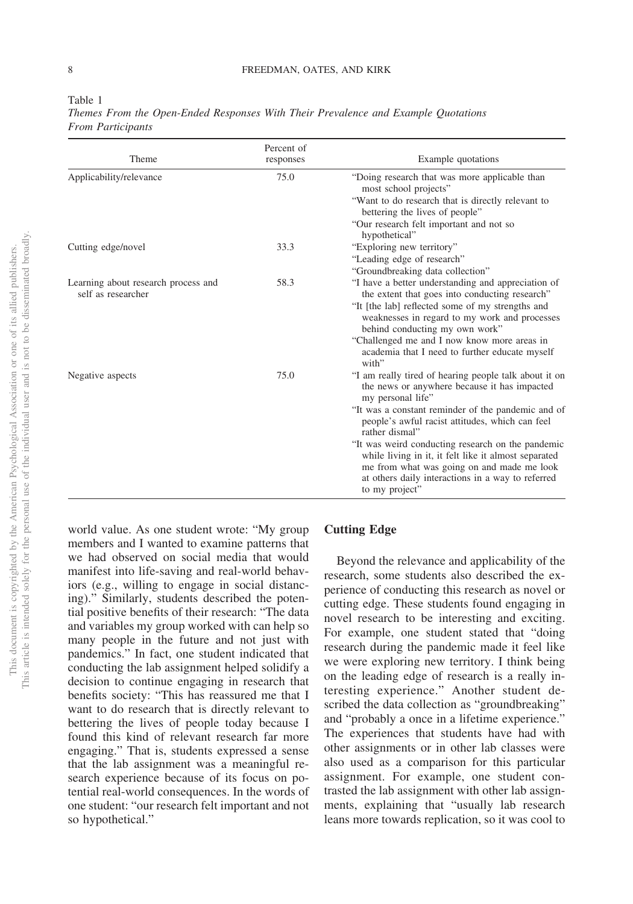| a. |  |
|----|--|
|    |  |

| Theme                                                     | responses | Example quotations                                                                                                                                                                                                             |
|-----------------------------------------------------------|-----------|--------------------------------------------------------------------------------------------------------------------------------------------------------------------------------------------------------------------------------|
| Applicability/relevance                                   | 75.0      | "Doing research that was more applicable than<br>most school projects"                                                                                                                                                         |
|                                                           |           | "Want to do research that is directly relevant to<br>bettering the lives of people"                                                                                                                                            |
|                                                           |           | "Our research felt important and not so<br>hypothetical"                                                                                                                                                                       |
| Cutting edge/novel                                        | 33.3      | "Exploring new territory"                                                                                                                                                                                                      |
|                                                           |           | "Leading edge of research"                                                                                                                                                                                                     |
|                                                           |           | "Groundbreaking data collection"                                                                                                                                                                                               |
| Learning about research process and<br>self as researcher | 58.3      | "I have a better understanding and appreciation of<br>the extent that goes into conducting research"                                                                                                                           |
|                                                           |           | "It [the lab] reflected some of my strengths and<br>weaknesses in regard to my work and processes<br>behind conducting my own work"                                                                                            |
|                                                           |           | "Challenged me and I now know more areas in<br>academia that I need to further educate myself<br>with"                                                                                                                         |
| Negative aspects                                          | 75.0      | "I am really tired of hearing people talk about it on<br>the news or anywhere because it has impacted<br>my personal life"                                                                                                     |
|                                                           |           | "It was a constant reminder of the pandemic and of<br>people's awful racist attitudes, which can feel<br>rather dismal"                                                                                                        |
|                                                           |           | "It was weird conducting research on the pandemic<br>while living in it, it felt like it almost separated<br>me from what was going on and made me look<br>at others daily interactions in a way to referred<br>to my project" |

*Themes From the Open-Ended Responses With Their Prevalence and Example Quotations From Participants*

world value. As one student wrote: "My group members and I wanted to examine patterns that we had observed on social media that would manifest into life-saving and real-world behaviors (e.g., willing to engage in social distancing)." Similarly, students described the potential positive benefits of their research: "The data and variables my group worked with can help so many people in the future and not just with pandemics." In fact, one student indicated that conducting the lab assignment helped solidify a decision to continue engaging in research that benefits society: "This has reassured me that I want to do research that is directly relevant to bettering the lives of people today because I found this kind of relevant research far more engaging." That is, students expressed a sense that the lab assignment was a meaningful research experience because of its focus on potential real-world consequences. In the words of one student: "our research felt important and not so hypothetical."

### **Cutting Edge**

Beyond the relevance and applicability of the research, some students also described the experience of conducting this research as novel or cutting edge. These students found engaging in novel research to be interesting and exciting. For example, one student stated that "doing research during the pandemic made it feel like we were exploring new territory. I think being on the leading edge of research is a really interesting experience." Another student described the data collection as "groundbreaking" and "probably a once in a lifetime experience." The experiences that students have had with other assignments or in other lab classes were also used as a comparison for this particular assignment. For example, one student contrasted the lab assignment with other lab assignments, explaining that "usually lab research leans more towards replication, so it was cool to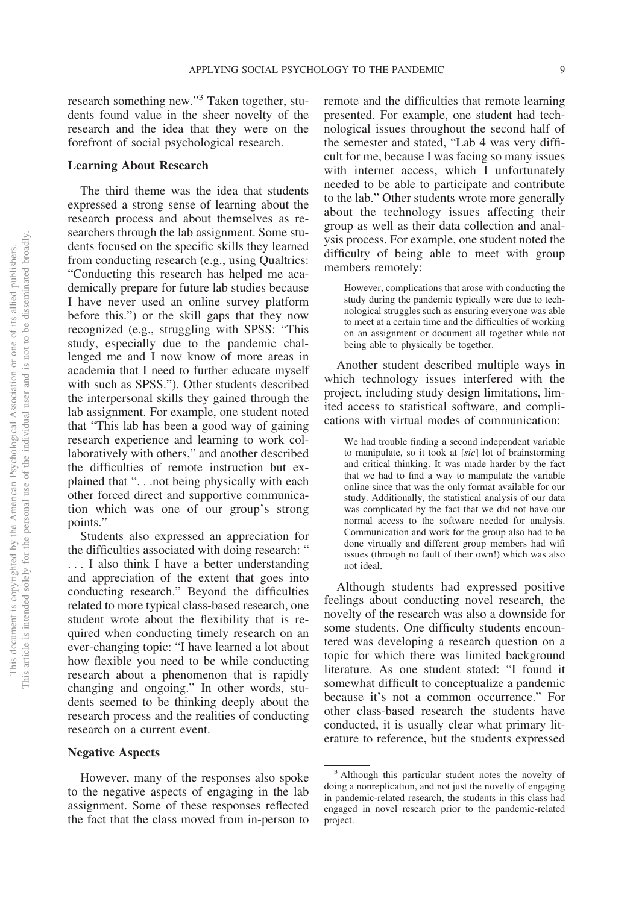research something new."3 Taken together, students found value in the sheer novelty of the research and the idea that they were on the forefront of social psychological research.

#### **Learning About Research**

The third theme was the idea that students expressed a strong sense of learning about the research process and about themselves as researchers through the lab assignment. Some students focused on the specific skills they learned from conducting research (e.g., using Qualtrics: "Conducting this research has helped me academically prepare for future lab studies because I have never used an online survey platform before this.") or the skill gaps that they now recognized (e.g., struggling with SPSS: "This study, especially due to the pandemic challenged me and I now know of more areas in academia that I need to further educate myself with such as SPSS."). Other students described the interpersonal skills they gained through the lab assignment. For example, one student noted that "This lab has been a good way of gaining research experience and learning to work collaboratively with others," and another described the difficulties of remote instruction but explained that ". . .not being physically with each other forced direct and supportive communication which was one of our group's strong points."

Students also expressed an appreciation for the difficulties associated with doing research: " . . . I also think I have a better understanding and appreciation of the extent that goes into conducting research." Beyond the difficulties related to more typical class-based research, one student wrote about the flexibility that is required when conducting timely research on an ever-changing topic: "I have learned a lot about how flexible you need to be while conducting research about a phenomenon that is rapidly changing and ongoing." In other words, students seemed to be thinking deeply about the research process and the realities of conducting research on a current event.

#### **Negative Aspects**

However, many of the responses also spoke to the negative aspects of engaging in the lab assignment. Some of these responses reflected the fact that the class moved from in-person to

remote and the difficulties that remote learning presented. For example, one student had technological issues throughout the second half of the semester and stated, "Lab 4 was very difficult for me, because I was facing so many issues with internet access, which I unfortunately needed to be able to participate and contribute to the lab." Other students wrote more generally about the technology issues affecting their group as well as their data collection and analysis process. For example, one student noted the difficulty of being able to meet with group members remotely:

However, complications that arose with conducting the study during the pandemic typically were due to technological struggles such as ensuring everyone was able to meet at a certain time and the difficulties of working on an assignment or document all together while not being able to physically be together.

Another student described multiple ways in which technology issues interfered with the project, including study design limitations, limited access to statistical software, and complications with virtual modes of communication:

We had trouble finding a second independent variable to manipulate, so it took at [*sic*] lot of brainstorming and critical thinking. It was made harder by the fact that we had to find a way to manipulate the variable online since that was the only format available for our study. Additionally, the statistical analysis of our data was complicated by the fact that we did not have our normal access to the software needed for analysis. Communication and work for the group also had to be done virtually and different group members had wifi issues (through no fault of their own!) which was also not ideal.

Although students had expressed positive feelings about conducting novel research, the novelty of the research was also a downside for some students. One difficulty students encountered was developing a research question on a topic for which there was limited background literature. As one student stated: "I found it somewhat difficult to conceptualize a pandemic because it's not a common occurrence." For other class-based research the students have conducted, it is usually clear what primary literature to reference, but the students expressed

<sup>3</sup> Although this particular student notes the novelty of doing a nonreplication, and not just the novelty of engaging in pandemic-related research, the students in this class had engaged in novel research prior to the pandemic-related project.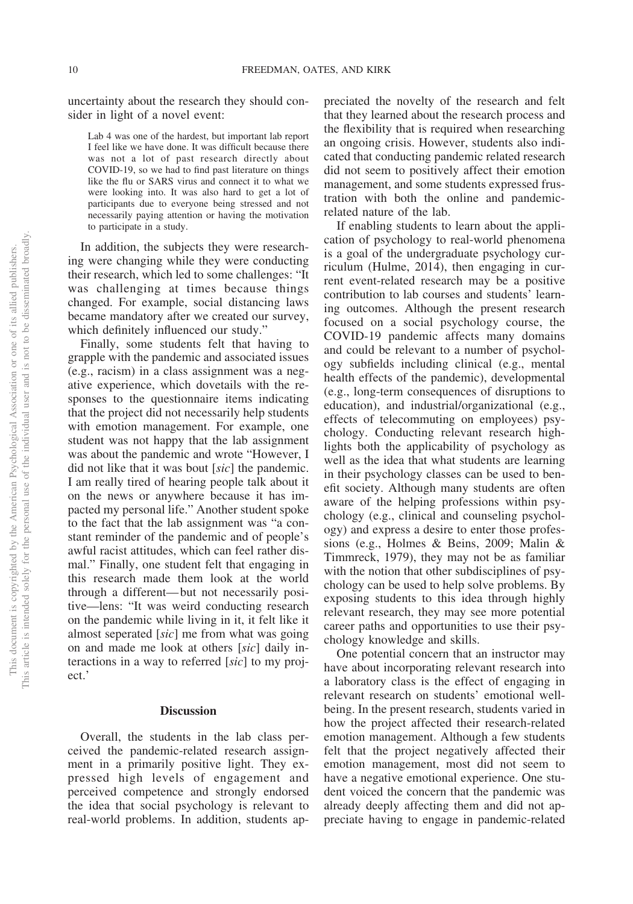uncertainty about the research they should consider in light of a novel event:

Lab 4 was one of the hardest, but important lab report I feel like we have done. It was difficult because there was not a lot of past research directly about COVID-19, so we had to find past literature on things like the flu or SARS virus and connect it to what we were looking into. It was also hard to get a lot of participants due to everyone being stressed and not necessarily paying attention or having the motivation to participate in a study.

In addition, the subjects they were researching were changing while they were conducting their research, which led to some challenges: "It was challenging at times because things changed. For example, social distancing laws became mandatory after we created our survey, which definitely influenced our study."

Finally, some students felt that having to grapple with the pandemic and associated issues (e.g., racism) in a class assignment was a negative experience, which dovetails with the responses to the questionnaire items indicating that the project did not necessarily help students with emotion management. For example, one student was not happy that the lab assignment was about the pandemic and wrote "However, I did not like that it was bout [*sic*] the pandemic. I am really tired of hearing people talk about it on the news or anywhere because it has impacted my personal life." Another student spoke to the fact that the lab assignment was "a constant reminder of the pandemic and of people's awful racist attitudes, which can feel rather dismal." Finally, one student felt that engaging in this research made them look at the world through a different—but not necessarily positive—lens: "It was weird conducting research on the pandemic while living in it, it felt like it almost seperated [*sic*] me from what was going on and made me look at others [*sic*] daily interactions in a way to referred [*sic*] to my project.'

### **Discussion**

Overall, the students in the lab class perceived the pandemic-related research assignment in a primarily positive light. They expressed high levels of engagement and perceived competence and strongly endorsed the idea that social psychology is relevant to real-world problems. In addition, students appreciated the novelty of the research and felt that they learned about the research process and the flexibility that is required when researching an ongoing crisis. However, students also indicated that conducting pandemic related research did not seem to positively affect their emotion management, and some students expressed frustration with both the online and pandemicrelated nature of the lab.

If enabling students to learn about the application of psychology to real-world phenomena is a goal of the undergraduate psychology curriculum (Hulme, 2014), then engaging in current event-related research may be a positive contribution to lab courses and students' learning outcomes. Although the present research focused on a social psychology course, the COVID-19 pandemic affects many domains and could be relevant to a number of psychology subfields including clinical (e.g., mental health effects of the pandemic), developmental (e.g., long-term consequences of disruptions to education), and industrial/organizational (e.g., effects of telecommuting on employees) psychology. Conducting relevant research highlights both the applicability of psychology as well as the idea that what students are learning in their psychology classes can be used to benefit society. Although many students are often aware of the helping professions within psychology (e.g., clinical and counseling psychology) and express a desire to enter those professions (e.g., Holmes & Beins, 2009; Malin & Timmreck, 1979), they may not be as familiar with the notion that other subdisciplines of psychology can be used to help solve problems. By exposing students to this idea through highly relevant research, they may see more potential career paths and opportunities to use their psychology knowledge and skills.

One potential concern that an instructor may have about incorporating relevant research into a laboratory class is the effect of engaging in relevant research on students' emotional wellbeing. In the present research, students varied in how the project affected their research-related emotion management. Although a few students felt that the project negatively affected their emotion management, most did not seem to have a negative emotional experience. One student voiced the concern that the pandemic was already deeply affecting them and did not appreciate having to engage in pandemic-related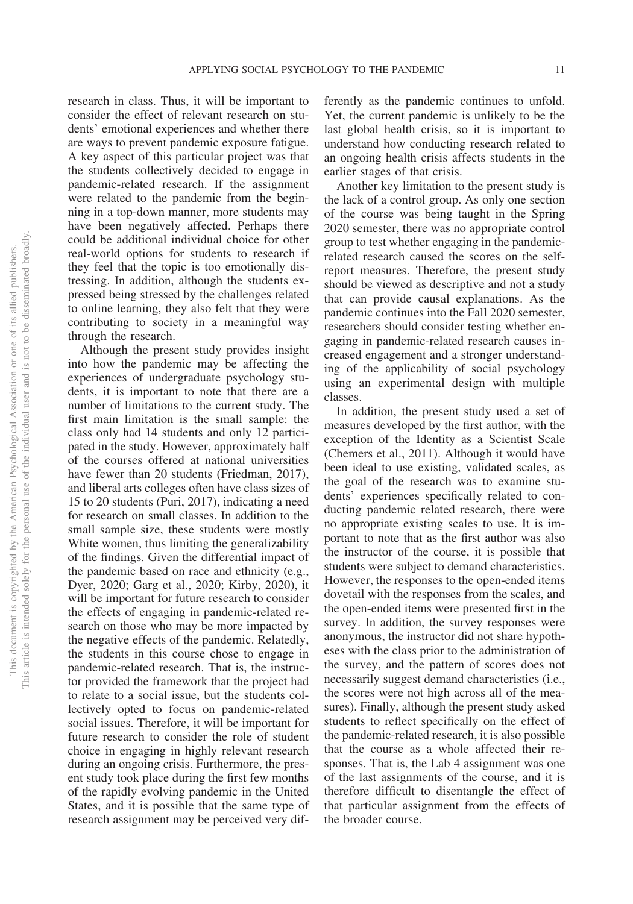research in class. Thus, it will be important to consider the effect of relevant research on students' emotional experiences and whether there are ways to prevent pandemic exposure fatigue. A key aspect of this particular project was that the students collectively decided to engage in pandemic-related research. If the assignment were related to the pandemic from the beginning in a top-down manner, more students may have been negatively affected. Perhaps there could be additional individual choice for other real-world options for students to research if they feel that the topic is too emotionally distressing. In addition, although the students expressed being stressed by the challenges related to online learning, they also felt that they were contributing to society in a meaningful way through the research.

Although the present study provides insight into how the pandemic may be affecting the experiences of undergraduate psychology students, it is important to note that there are a number of limitations to the current study. The first main limitation is the small sample: the class only had 14 students and only 12 participated in the study. However, approximately half of the courses offered at national universities have fewer than 20 students (Friedman, 2017), and liberal arts colleges often have class sizes of 15 to 20 students (Puri, 2017), indicating a need for research on small classes. In addition to the small sample size, these students were mostly White women, thus limiting the generalizability of the findings. Given the differential impact of the pandemic based on race and ethnicity (e.g., Dyer, 2020; Garg et al., 2020; Kirby, 2020), it will be important for future research to consider the effects of engaging in pandemic-related research on those who may be more impacted by the negative effects of the pandemic. Relatedly, the students in this course chose to engage in pandemic-related research. That is, the instructor provided the framework that the project had to relate to a social issue, but the students collectively opted to focus on pandemic-related social issues. Therefore, it will be important for future research to consider the role of student choice in engaging in highly relevant research during an ongoing crisis. Furthermore, the present study took place during the first few months of the rapidly evolving pandemic in the United States, and it is possible that the same type of research assignment may be perceived very dif-

ferently as the pandemic continues to unfold. Yet, the current pandemic is unlikely to be the last global health crisis, so it is important to understand how conducting research related to an ongoing health crisis affects students in the earlier stages of that crisis.

Another key limitation to the present study is the lack of a control group. As only one section of the course was being taught in the Spring 2020 semester, there was no appropriate control group to test whether engaging in the pandemicrelated research caused the scores on the selfreport measures. Therefore, the present study should be viewed as descriptive and not a study that can provide causal explanations. As the pandemic continues into the Fall 2020 semester, researchers should consider testing whether engaging in pandemic-related research causes increased engagement and a stronger understanding of the applicability of social psychology using an experimental design with multiple classes.

In addition, the present study used a set of measures developed by the first author, with the exception of the Identity as a Scientist Scale (Chemers et al., 2011). Although it would have been ideal to use existing, validated scales, as the goal of the research was to examine students' experiences specifically related to conducting pandemic related research, there were no appropriate existing scales to use. It is important to note that as the first author was also the instructor of the course, it is possible that students were subject to demand characteristics. However, the responses to the open-ended items dovetail with the responses from the scales, and the open-ended items were presented first in the survey. In addition, the survey responses were anonymous, the instructor did not share hypotheses with the class prior to the administration of the survey, and the pattern of scores does not necessarily suggest demand characteristics (i.e., the scores were not high across all of the measures). Finally, although the present study asked students to reflect specifically on the effect of the pandemic-related research, it is also possible that the course as a whole affected their responses. That is, the Lab 4 assignment was one of the last assignments of the course, and it is therefore difficult to disentangle the effect of that particular assignment from the effects of the broader course.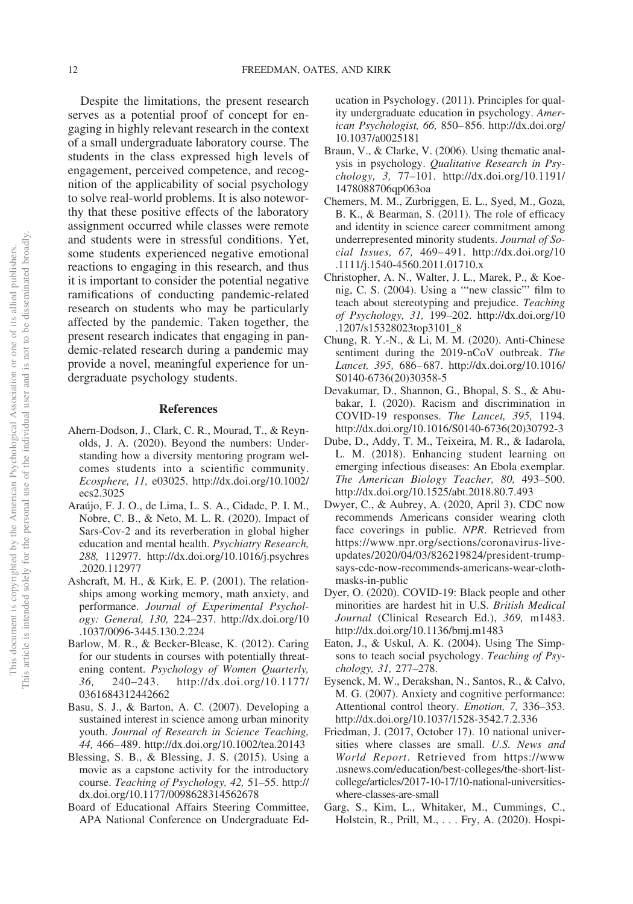Despite the limitations, the present research serves as a potential proof of concept for engaging in highly relevant research in the context of a small undergraduate laboratory course. The students in the class expressed high levels of engagement, perceived competence, and recognition of the applicability of social psychology to solve real-world problems. It is also noteworthy that these positive effects of the laboratory assignment occurred while classes were remote and students were in stressful conditions. Yet, some students experienced negative emotional reactions to engaging in this research, and thus it is important to consider the potential negative ramifications of conducting pandemic-related research on students who may be particularly affected by the pandemic. Taken together, the present research indicates that engaging in pandemic-related research during a pandemic may provide a novel, meaningful experience for undergraduate psychology students.

#### **References**

- Ahern-Dodson, J., Clark, C. R., Mourad, T., & Reynolds, J. A. (2020). Beyond the numbers: Understanding how a diversity mentoring program welcomes students into a scientific community. *Ecosphere, 11,* e03025. [http://dx.doi.org/10.1002/](http://dx.doi.org/10.1002/ecs2.3025) [ecs2.3025](http://dx.doi.org/10.1002/ecs2.3025)
- Araújo, F. J. O., de Lima, L. S. A., Cidade, P. I. M., Nobre, C. B., & Neto, M. L. R. (2020). Impact of Sars-Cov-2 and its reverberation in global higher education and mental health. *Psychiatry Research, 288,* 112977. [http://dx.doi.org/10.1016/j.psychres](http://dx.doi.org/10.1016/j.psychres.2020.112977) [.2020.112977](http://dx.doi.org/10.1016/j.psychres.2020.112977)
- Ashcraft, M. H., & Kirk, E. P. (2001). The relationships among working memory, math anxiety, and performance. *Journal of Experimental Psychology: General, 130,* 224–237. [http://dx.doi.org/10](http://dx.doi.org/10.1037/0096-3445.130.2.224) [.1037/0096-3445.130.2.224](http://dx.doi.org/10.1037/0096-3445.130.2.224)
- Barlow, M. R., & Becker-Blease, K. (2012). Caring for our students in courses with potentially threatening content. *Psychology of Women Quarterly, 36,* 240–243. [http://dx.doi.org/10.1177/](http://dx.doi.org/10.1177/0361684312442662) [0361684312442662](http://dx.doi.org/10.1177/0361684312442662)
- Basu, S. J., & Barton, A. C. (2007). Developing a sustained interest in science among urban minority youth. *Journal of Research in Science Teaching, 44,* 466–489.<http://dx.doi.org/10.1002/tea.20143>
- Blessing, S. B., & Blessing, J. S. (2015). Using a movie as a capstone activity for the introductory course. *Teaching of Psychology, 42,* 51–55. [http://](http://dx.doi.org/10.1177/0098628314562678) [dx.doi.org/10.1177/0098628314562678](http://dx.doi.org/10.1177/0098628314562678)
- Board of Educational Affairs Steering Committee, APA National Conference on Undergraduate Ed-

ucation in Psychology. (2011). Principles for quality undergraduate education in psychology. *American Psychologist, 66,* 850–856. [http://dx.doi.org/](http://dx.doi.org/10.1037/a0025181) [10.1037/a0025181](http://dx.doi.org/10.1037/a0025181)

- <span id="page-12-0"></span>Braun, V., & Clarke, V. (2006). Using thematic analysis in psychology. *Qualitative Research in Psychology, 3,* 77–101. [http://dx.doi.org/10.1191/](http://dx.doi.org/10.1191/1478088706qp063oa) [1478088706qp063oa](http://dx.doi.org/10.1191/1478088706qp063oa)
- Chemers, M. M., Zurbriggen, E. L., Syed, M., Goza, B. K., & Bearman, S. (2011). The role of efficacy and identity in science career commitment among underrepresented minority students. *Journal of Social Issues, 67,* 469–491. [http://dx.doi.org/10](http://dx.doi.org/10.1111/j.1540-4560.2011.01710.x) [.1111/j.1540-4560.2011.01710.x](http://dx.doi.org/10.1111/j.1540-4560.2011.01710.x)
- Christopher, A. N., Walter, J. L., Marek, P., & Koenig, C. S. (2004). Using a '"new classic"' film to teach about stereotyping and prejudice. *Teaching of Psychology, 31,* 199–202. [http://dx.doi.org/10](http://dx.doi.org/10.1207/s15328023top3101_8) [.1207/s15328023top3101\\_8](http://dx.doi.org/10.1207/s15328023top3101_8)
- Chung, R. Y.-N., & Li, M. M. (2020). Anti-Chinese sentiment during the 2019-nCoV outbreak. *The Lancet, 395,* 686–687. [http://dx.doi.org/10.1016/](http://dx.doi.org/10.1016/S0140-6736%2820%2930358-5) [S0140-6736\(20\)30358-5](http://dx.doi.org/10.1016/S0140-6736%2820%2930358-5)
- Devakumar, D., Shannon, G., Bhopal, S. S., & Abubakar, I. (2020). Racism and discrimination in COVID-19 responses. *The Lancet, 395,* 1194. [http://dx.doi.org/10.1016/S0140-6736\(20\)30792-3](http://dx.doi.org/10.1016/S0140-6736%2820%2930792-3)
- Dube, D., Addy, T. M., Teixeira, M. R., & Iadarola, L. M. (2018). Enhancing student learning on emerging infectious diseases: An Ebola exemplar. *The American Biology Teacher, 80,* 493–500. <http://dx.doi.org/10.1525/abt.2018.80.7.493>
- Dwyer, C., & Aubrey, A. (2020, April 3). CDC now recommends Americans consider wearing cloth face coverings in public. *NPR*. Retrieved from [https://www.npr.org/sections/coronavirus-live](https://www.npr.org/sections/coronavirus-live-updates/2020/04/03/826219824/president-trump-says-cdc-now-recommends-americans-wear-cloth-masks-in-public)[updates/2020/04/03/826219824/president-trump](https://www.npr.org/sections/coronavirus-live-updates/2020/04/03/826219824/president-trump-says-cdc-now-recommends-americans-wear-cloth-masks-in-public)[says-cdc-now-recommends-americans-wear-cloth](https://www.npr.org/sections/coronavirus-live-updates/2020/04/03/826219824/president-trump-says-cdc-now-recommends-americans-wear-cloth-masks-in-public)[masks-in-public](https://www.npr.org/sections/coronavirus-live-updates/2020/04/03/826219824/president-trump-says-cdc-now-recommends-americans-wear-cloth-masks-in-public)
- Dyer, O. (2020). COVID-19: Black people and other minorities are hardest hit in U.S. *British Medical Journal* (Clinical Research Ed.), *369,* m1483. <http://dx.doi.org/10.1136/bmj.m1483>
- Eaton, J., & Uskul, A. K. (2004). Using The Simpsons to teach social psychology. *Teaching of Psychology, 31,* 277–278.
- Eysenck, M. W., Derakshan, N., Santos, R., & Calvo, M. G. (2007). Anxiety and cognitive performance: Attentional control theory. *Emotion, 7,* 336–353. <http://dx.doi.org/10.1037/1528-3542.7.2.336>
- Friedman, J. (2017, October 17). 10 national universities where classes are small. *U.S. News and World Report*. Retrieved from [https://www](https://www.usnews.com/education/best-colleges/the-short-list-college/articles/2017-10-17/10-national-universities-where-classes-are-small) [.usnews.com/education/best-colleges/the-short-list](https://www.usnews.com/education/best-colleges/the-short-list-college/articles/2017-10-17/10-national-universities-where-classes-are-small)[college/articles/2017-10-17/10-national-universities](https://www.usnews.com/education/best-colleges/the-short-list-college/articles/2017-10-17/10-national-universities-where-classes-are-small)[where-classes-are-small](https://www.usnews.com/education/best-colleges/the-short-list-college/articles/2017-10-17/10-national-universities-where-classes-are-small)
- Garg, S., Kim, L., Whitaker, M., Cummings, C., Holstein, R., Prill, M.,... Fry, A. (2020). Hospi-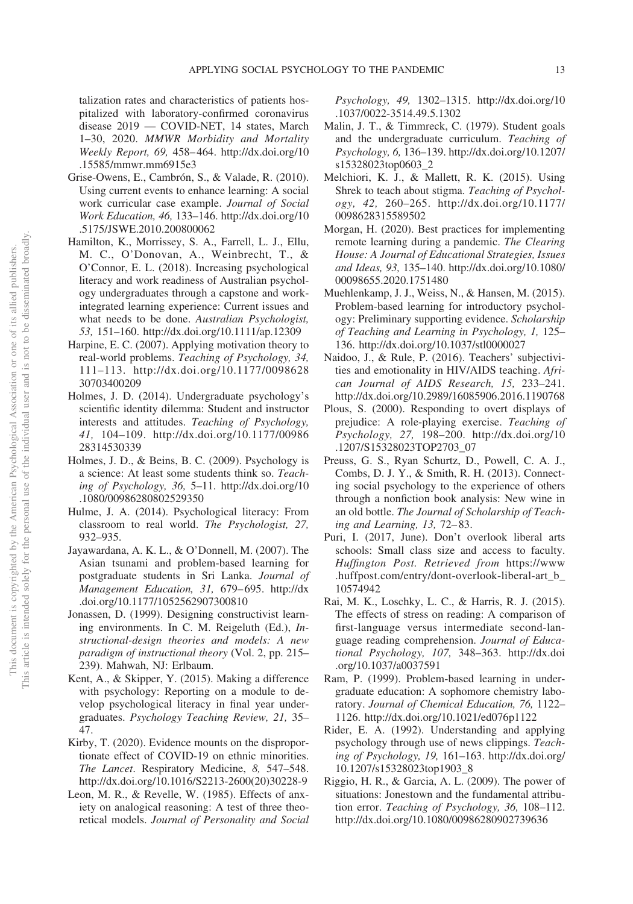talization rates and characteristics of patients hospitalized with laboratory-confirmed coronavirus disease 2019 — COVID-NET, 14 states, March 1–30, 2020. *MMWR Morbidity and Mortality Weekly Report, 69,* 458–464. [http://dx.doi.org/10](http://dx.doi.org/10.15585/mmwr.mm6915e3) [.15585/mmwr.mm6915e3](http://dx.doi.org/10.15585/mmwr.mm6915e3)

- Grise-Owens, E., Cambrón, S., & Valade, R. (2010). Using current events to enhance learning: A social work curricular case example. *Journal of Social Work Education, 46,* 133–146. [http://dx.doi.org/10](http://dx.doi.org/10.5175/JSWE.2010.200800062) [.5175/JSWE.2010.200800062](http://dx.doi.org/10.5175/JSWE.2010.200800062)
- Hamilton, K., Morrissey, S. A., Farrell, L. J., Ellu, M. C., O'Donovan, A., Weinbrecht, T., & O'Connor, E. L. (2018). Increasing psychological literacy and work readiness of Australian psychology undergraduates through a capstone and workintegrated learning experience: Current issues and what needs to be done. *Australian Psychologist, 53,* 151–160.<http://dx.doi.org/10.1111/ap.12309>
- Harpine, E. C. (2007). Applying motivation theory to real-world problems. *Teaching of Psychology, 34,* 111–113. [http://dx.doi.org/10.1177/0098628](http://dx.doi.org/10.1177/009862830703400209) [30703400209](http://dx.doi.org/10.1177/009862830703400209)
- Holmes, J. D. (2014). Undergraduate psychology's scientific identity dilemma: Student and instructor interests and attitudes. *Teaching of Psychology, 41,* 104–109. [http://dx.doi.org/10.1177/00986](http://dx.doi.org/10.1177/0098628314530339) [28314530339](http://dx.doi.org/10.1177/0098628314530339)
- Holmes, J. D., & Beins, B. C. (2009). Psychology is a science: At least some students think so. *Teaching of Psychology, 36,* 5–11. [http://dx.doi.org/10](http://dx.doi.org/10.1080/00986280802529350) [.1080/00986280802529350](http://dx.doi.org/10.1080/00986280802529350)
- Hulme, J. A. (2014). Psychological literacy: From classroom to real world. *The Psychologist, 27,* 932–935.
- Jayawardana, A. K. L., & O'Donnell, M. (2007). The Asian tsunami and problem-based learning for postgraduate students in Sri Lanka. *Journal of Management Education, 31,* 679–695. [http://dx](http://dx.doi.org/10.1177/1052562907300810) [.doi.org/10.1177/1052562907300810](http://dx.doi.org/10.1177/1052562907300810)
- Jonassen, D. (1999). Designing constructivist learning environments. In C. M. Reigeluth (Ed.), *Instructional-design theories and models: A new paradigm of instructional theory* (Vol. 2, pp. 215– 239). Mahwah, NJ: Erlbaum.
- Kent, A., & Skipper, Y. (2015). Making a difference with psychology: Reporting on a module to develop psychological literacy in final year undergraduates. *Psychology Teaching Review, 21,* 35– 47.
- Kirby, T. (2020). Evidence mounts on the disproportionate effect of COVID-19 on ethnic minorities. *The Lancet*. Respiratory Medicine, *8,* 547–548. [http://dx.doi.org/10.1016/S2213-2600\(20\)30228-9](http://dx.doi.org/10.1016/S2213-2600%2820%2930228-9)
- Leon, M. R., & Revelle, W. (1985). Effects of anxiety on analogical reasoning: A test of three theoretical models. *Journal of Personality and Social*

*Psychology, 49,* 1302–1315. [http://dx.doi.org/10](http://dx.doi.org/10.1037/0022-3514.49.5.1302) [.1037/0022-3514.49.5.1302](http://dx.doi.org/10.1037/0022-3514.49.5.1302)

- Malin, J. T., & Timmreck, C. (1979). Student goals and the undergraduate curriculum. *Teaching of Psychology, 6,* 136–139. [http://dx.doi.org/10.1207/](http://dx.doi.org/10.1207/s15328023top0603_2) [s15328023top0603\\_2](http://dx.doi.org/10.1207/s15328023top0603_2)
- Melchiori, K. J., & Mallett, R. K. (2015). Using Shrek to teach about stigma. *Teaching of Psychology, 42,* 260–265. [http://dx.doi.org/10.1177/](http://dx.doi.org/10.1177/0098628315589502) [0098628315589502](http://dx.doi.org/10.1177/0098628315589502)
- Morgan, H. (2020). Best practices for implementing remote learning during a pandemic. *The Clearing House: A Journal of Educational Strategies, Issues and Ideas, 93,* 135–140. [http://dx.doi.org/10.1080/](http://dx.doi.org/10.1080/00098655.2020.1751480) [00098655.2020.1751480](http://dx.doi.org/10.1080/00098655.2020.1751480)
- Muehlenkamp, J. J., Weiss, N., & Hansen, M. (2015). Problem-based learning for introductory psychology: Preliminary supporting evidence. *Scholarship of Teaching and Learning in Psychology, 1,* 125– 136.<http://dx.doi.org/10.1037/stl0000027>
- Naidoo, J., & Rule, P. (2016). Teachers' subjectivities and emotionality in HIV/AIDS teaching. *African Journal of AIDS Research, 15,* 233–241. <http://dx.doi.org/10.2989/16085906.2016.1190768>
- Plous, S. (2000). Responding to overt displays of prejudice: A role-playing exercise. *Teaching of Psychology, 27,* 198–200. [http://dx.doi.org/10](http://dx.doi.org/10.1207/S15328023TOP2703_07) [.1207/S15328023TOP2703\\_07](http://dx.doi.org/10.1207/S15328023TOP2703_07)
- Preuss, G. S., Ryan Schurtz, D., Powell, C. A. J., Combs, D. J. Y., & Smith, R. H. (2013). Connecting social psychology to the experience of others through a nonfiction book analysis: New wine in an old bottle. *The Journal of Scholarship of Teaching and Learning, 13,* 72–83.
- Puri, I. (2017, June). Don't overlook liberal arts schools: Small class size and access to faculty. *Huffington Post. Retrieved from* [https://www](https://www.huffpost.com/entry/dont-overlook-liberal-art_b_10574942) [.huffpost.com/entry/dont-overlook-liberal-art\\_b\\_](https://www.huffpost.com/entry/dont-overlook-liberal-art_b_10574942) [10574942](https://www.huffpost.com/entry/dont-overlook-liberal-art_b_10574942)
- Rai, M. K., Loschky, L. C., & Harris, R. J. (2015). The effects of stress on reading: A comparison of first-language versus intermediate second-language reading comprehension. *Journal of Educational Psychology, 107,* 348–363. [http://dx.doi](http://dx.doi.org/10.1037/a0037591) [.org/10.1037/a0037591](http://dx.doi.org/10.1037/a0037591)
- Ram, P. (1999). Problem-based learning in undergraduate education: A sophomore chemistry laboratory. *Journal of Chemical Education, 76,* 1122– 1126.<http://dx.doi.org/10.1021/ed076p1122>
- Rider, E. A. (1992). Understanding and applying psychology through use of news clippings. *Teaching of Psychology, 19,* 161–163. [http://dx.doi.org/](http://dx.doi.org/10.1207/s15328023top1903_8) [10.1207/s15328023top1903\\_8](http://dx.doi.org/10.1207/s15328023top1903_8)
- Riggio, H. R., & Garcia, A. L. (2009). The power of situations: Jonestown and the fundamental attribution error. *Teaching of Psychology, 36,* 108–112. <http://dx.doi.org/10.1080/00986280902739636>